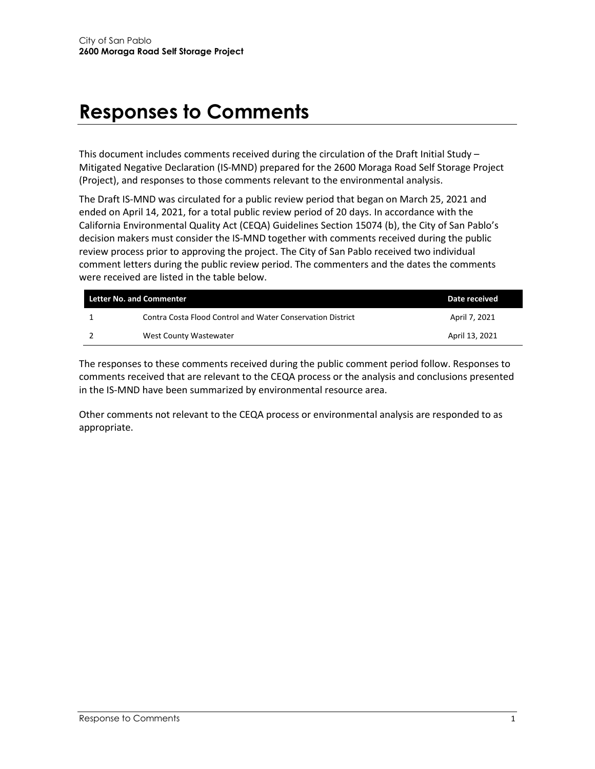# **Responses to Comments**

This document includes comments received during the circulation of the Draft Initial Study – Mitigated Negative Declaration (IS-MND) prepared for the 2600 Moraga Road Self Storage Project (Project), and responses to those comments relevant to the environmental analysis.

The Draft IS-MND was circulated for a public review period that began on March 25, 2021 and ended on April 14, 2021, for a total public review period of 20 days. In accordance with the California Environmental Quality Act (CEQA) Guidelines Section 15074 (b), the City of San Pablo's decision makers must consider the IS-MND together with comments received during the public review process prior to approving the project. The City of San Pablo received two individual comment letters during the public review period. The commenters and the dates the comments were received are listed in the table below.

| <b>Letter No. and Commenter</b> |                                                            | Date received  |
|---------------------------------|------------------------------------------------------------|----------------|
|                                 | Contra Costa Flood Control and Water Conservation District | April 7, 2021  |
|                                 | West County Wastewater                                     | April 13, 2021 |

The responses to these comments received during the public comment period follow. Responses to comments received that are relevant to the CEQA process or the analysis and conclusions presented in the IS-MND have been summarized by environmental resource area.

Other comments not relevant to the CEQA process or environmental analysis are responded to as appropriate.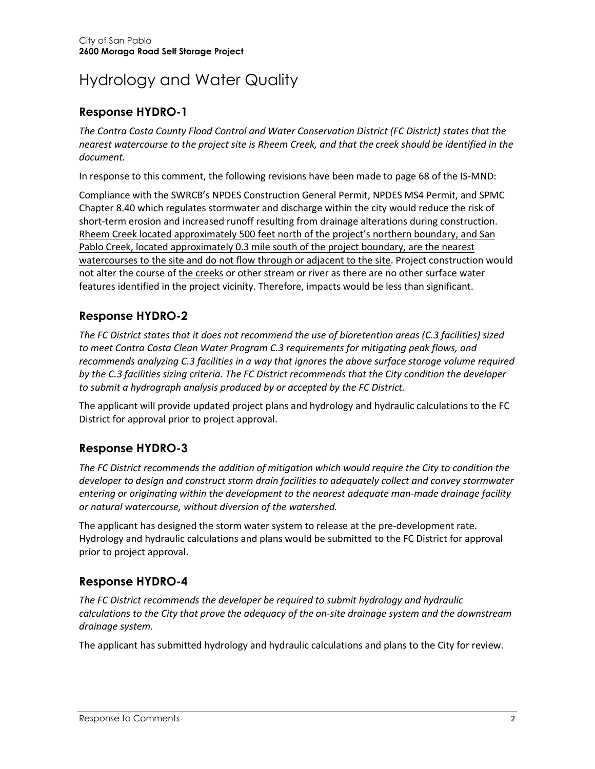## Hydrology and Water Quality

## **Response HYDRO-1**

*The Contra Costa County Flood Control and Water Conservation District (FC District) states that the nearest watercourse to the project site is Rheem Creek, and that the creek should be identified in the document.* 

In response to this comment, the following revisions have been made to page 68 of the IS-MND:

Compliance with the SWRCB's NPDES Construction General Permit, NPDES MS4 Permit, and SPMC Chapter 8.40 which regulates stormwater and discharge within the city would reduce the risk of short-term erosion and increased runoff resulting from drainage alterations during construction. Rheem Creek located approximately 500 feet north of the project's northern boundary, and San Pablo Creek, located approximately 0.3 mile south of the project boundary, are the nearest watercourses to the site and do not flow through or adjacent to the site. Project construction would not alter the course of the creeks or other stream or river as there are no other surface water features identified in the project vicinity. Therefore, impacts would be less than significant.

## **Response HYDRO-2**

*The FC District states that it does not recommend the use of bioretention areas (C.3 facilities) sized to meet Contra Costa Clean Water Program C.3 requirements for mitigating peak flows, and recommends analyzing C.3 facilities in a way that ignores the above surface storage volume required by the C.3 facilities sizing criteria. The FC District recommends that the City condition the developer to submit a hydrograph analysis produced by or accepted by the FC District.* 

The applicant will provide updated project plans and hydrology and hydraulic calculations to the FC District for approval prior to project approval.

## **Response HYDRO-3**

*The FC District recommends the addition of mitigation which would require the City to condition the developer to design and construct storm drain facilities to adequately collect and convey stormwater entering or originating within the development to the nearest adequate man-made drainage facility or natural watercourse, without diversion of the watershed.* 

The applicant has designed the storm water system to release at the pre-development rate. Hydrology and hydraulic calculations and plans would be submitted to the FC District for approval prior to project approval.

## **Response HYDRO-4**

*The FC District recommends the developer be required to submit hydrology and hydraulic calculations to the City that prove the adequacy of the on-site drainage system and the downstream drainage system.* 

The applicant has submitted hydrology and hydraulic calculations and plans to the City for review.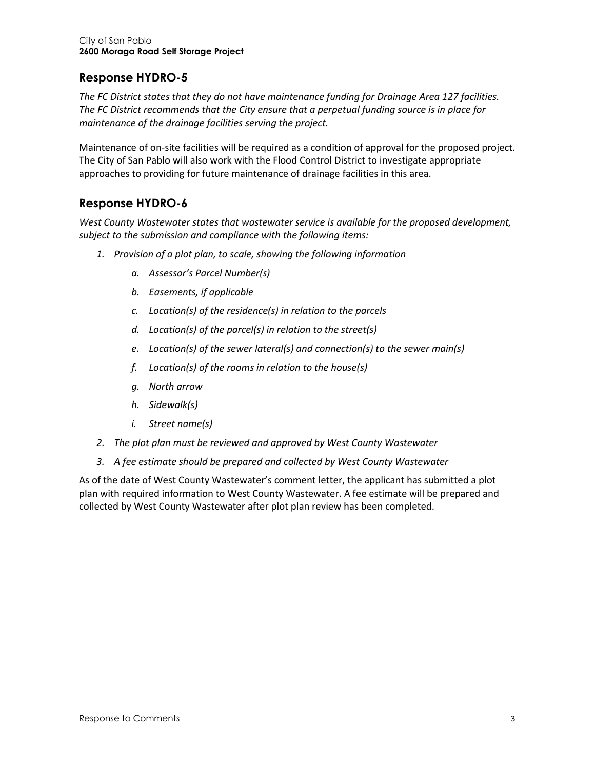## **Response HYDRO-5**

*The FC District states that they do not have maintenance funding for Drainage Area 127 facilities. The FC District recommends that the City ensure that a perpetual funding source is in place for maintenance of the drainage facilities serving the project.* 

Maintenance of on-site facilities will be required as a condition of approval for the proposed project. The City of San Pablo will also work with the Flood Control District to investigate appropriate approaches to providing for future maintenance of drainage facilities in this area.

### **Response HYDRO-6**

*West County Wastewater states that wastewater service is available for the proposed development, subject to the submission and compliance with the following items:* 

- *1. Provision of a plot plan, to scale, showing the following information*
	- *a. Assessor's Parcel Number(s)*
	- *b. Easements, if applicable*
	- *c. Location(s) of the residence(s) in relation to the parcels*
	- *d. Location(s) of the parcel(s) in relation to the street(s)*
	- *e. Location(s) of the sewer lateral(s) and connection(s) to the sewer main(s)*
	- *f. Location(s) of the rooms in relation to the house(s)*
	- *g. North arrow*
	- *h. Sidewalk(s)*
	- *i. Street name(s)*
- *2. The plot plan must be reviewed and approved by West County Wastewater*
- *3. A fee estimate should be prepared and collected by West County Wastewater*

As of the date of West County Wastewater's comment letter, the applicant has submitted a plot plan with required information to West County Wastewater. A fee estimate will be prepared and collected by West County Wastewater after plot plan review has been completed.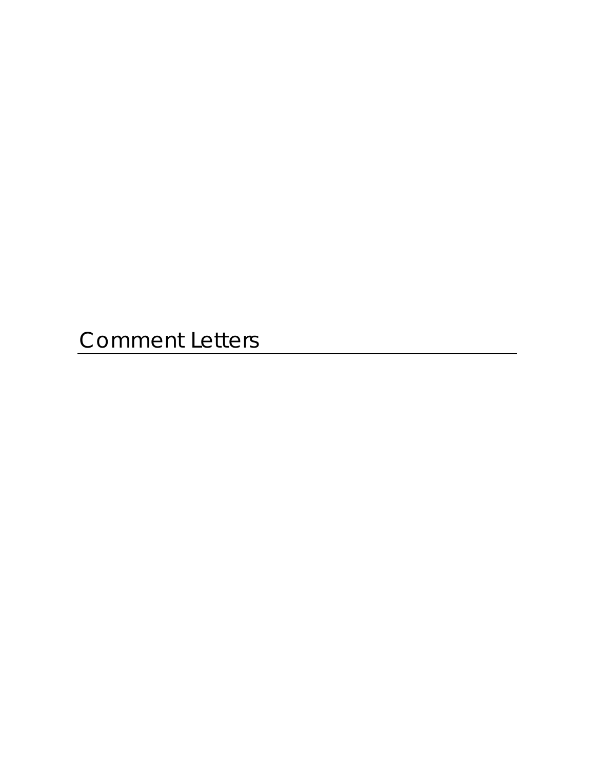Comment Letters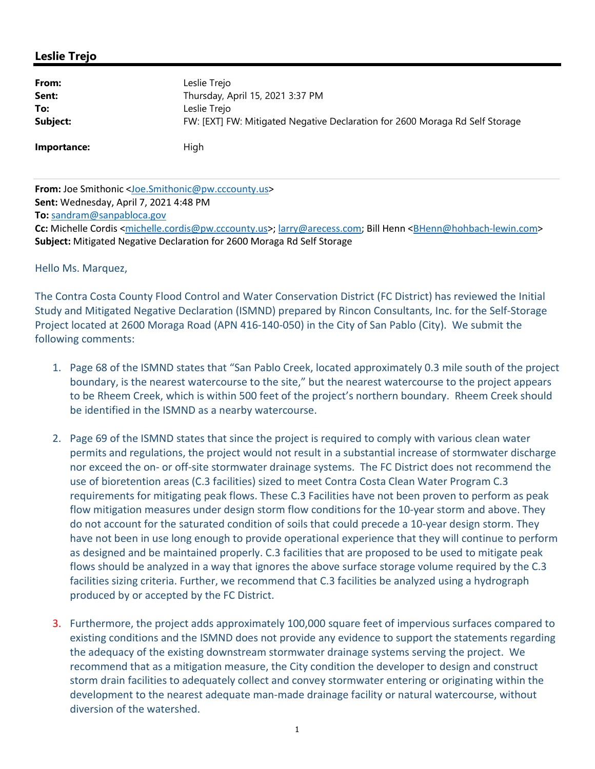#### **Leslie Trejo**

| From:       | Leslie Trejo                                                                 |
|-------------|------------------------------------------------------------------------------|
| Sent:       | Thursday, April 15, 2021 3:37 PM                                             |
| To:         | Leslie Trejo                                                                 |
| Subject:    | FW: [EXT] FW: Mitigated Negative Declaration for 2600 Moraga Rd Self Storage |
| Importance: | High                                                                         |

**From:** Joe Smithonic <Joe.Smithonic@pw.cccounty.us> **Sent:** Wednesday, April 7, 2021 4:48 PM **To:** sandram@sanpabloca.gov **Cc:** Michelle Cordis <michelle.cordis@pw.cccounty.us>; larry@arecess.com; Bill Henn <BHenn@hohbach-lewin.com> **Subject:** Mitigated Negative Declaration for 2600 Moraga Rd Self Storage

Hello Ms. Marquez,

The Contra Costa County Flood Control and Water Conservation District (FC District) has reviewed the Initial Study and Mitigated Negative Declaration (ISMND) prepared by Rincon Consultants, Inc. for the Self-Storage Project located at 2600 Moraga Road (APN 416-140-050) in the City of San Pablo (City). We submit the following comments:

- 1. Page 68 of the ISMND states that "San Pablo Creek, located approximately 0.3 mile south of the project boundary, is the nearest watercourse to the site," but the nearest watercourse to the project appears to be Rheem Creek, which is within 500 feet of the project's northern boundary. Rheem Creek should be identified in the ISMND as a nearby watercourse.
- 2. Page 69 of the ISMND states that since the project is required to comply with various clean water permits and regulations, the project would not result in a substantial increase of stormwater discharge nor exceed the on- or off-site stormwater drainage systems. The FC District does not recommend the use of bioretention areas (C.3 facilities) sized to meet Contra Costa Clean Water Program C.3 requirements for mitigating peak flows. These C.3 Facilities have not been proven to perform as peak flow mitigation measures under design storm flow conditions for the 10-year storm and above. They do not account for the saturated condition of soils that could precede a 10-year design storm. They have not been in use long enough to provide operational experience that they will continue to perform as designed and be maintained properly. C.3 facilities that are proposed to be used to mitigate peak flows should be analyzed in a way that ignores the above surface storage volume required by the C.3 facilities sizing criteria. Further, we recommend that C.3 facilities be analyzed using a hydrograph produced by or accepted by the FC District.
- 3. Furthermore, the project adds approximately 100,000 square feet of impervious surfaces compared to existing conditions and the ISMND does not provide any evidence to support the statements regarding the adequacy of the existing downstream stormwater drainage systems serving the project. We recommend that as a mitigation measure, the City condition the developer to design and construct storm drain facilities to adequately collect and convey stormwater entering or originating within the development to the nearest adequate man-made drainage facility or natural watercourse, without diversion of the watershed.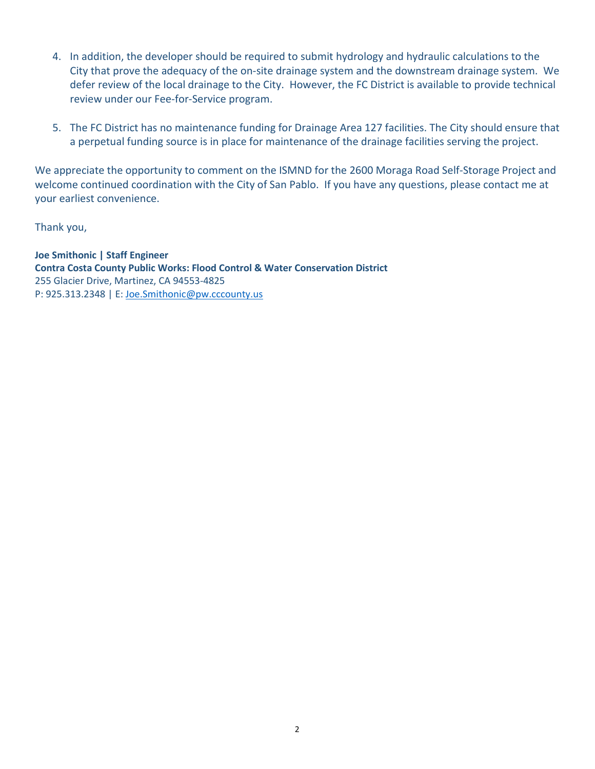- 4. In addition, the developer should be required to submit hydrology and hydraulic calculations to the City that prove the adequacy of the on-site drainage system and the downstream drainage system. We defer review of the local drainage to the City. However, the FC District is available to provide technical review under our Fee-for-Service program.
- 5. The FC District has no maintenance funding for Drainage Area 127 facilities. The City should ensure that a perpetual funding source is in place for maintenance of the drainage facilities serving the project.

We appreciate the opportunity to comment on the ISMND for the 2600 Moraga Road Self-Storage Project and welcome continued coordination with the City of San Pablo. If you have any questions, please contact me at your earliest convenience.

Thank you,

**Joe Smithonic | Staff Engineer Contra Costa County Public Works: Flood Control & Water Conservation District** 255 Glacier Drive, Martinez, CA 94553-4825 P: 925.313.2348 | E: Joe.Smithonic@pw.cccounty.us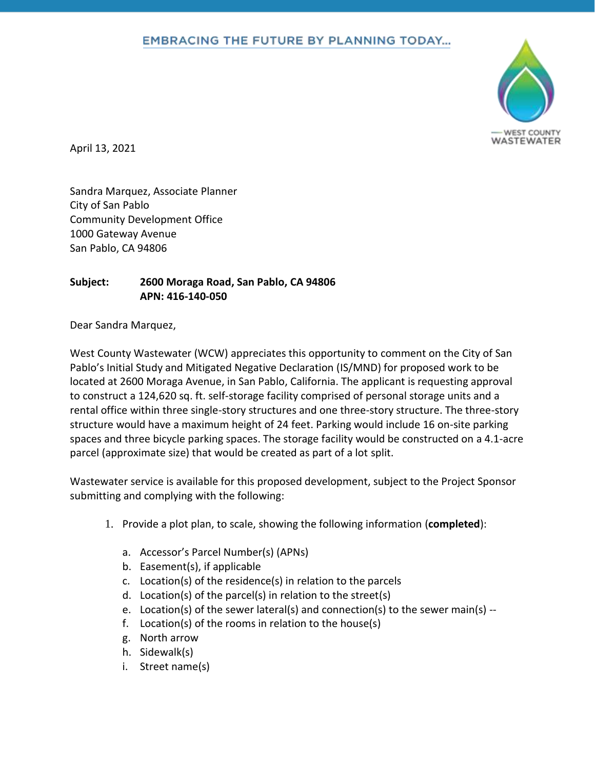

April 13, 2021

Sandra Marquez, Associate Planner City of San Pablo Community Development Office 1000 Gateway Avenue San Pablo, CA 94806

#### **Subject: 2600 Moraga Road, San Pablo, CA 94806 APN: 416-140-050**

Dear Sandra Marquez,

West County Wastewater (WCW) appreciates this opportunity to comment on the City of San Pablo's Initial Study and Mitigated Negative Declaration (IS/MND) for proposed work to be located at 2600 Moraga Avenue, in San Pablo, California. The applicant is requesting approval to construct a 124,620 sq. ft. self-storage facility comprised of personal storage units and a rental office within three single-story structures and one three-story structure. The three-story structure would have a maximum height of 24 feet. Parking would include 16 on-site parking spaces and three bicycle parking spaces. The storage facility would be constructed on a 4.1-acre parcel (approximate size) that would be created as part of a lot split.

Wastewater service is available for this proposed development, subject to the Project Sponsor submitting and complying with the following:

- 1. Provide a plot plan, to scale, showing the following information (**completed**):
	- a. Accessor's Parcel Number(s) (APNs)
	- b. Easement(s), if applicable
	- c. Location(s) of the residence(s) in relation to the parcels
	- d. Location(s) of the parcel(s) in relation to the street(s)
	- e. Location(s) of the sewer lateral(s) and connection(s) to the sewer main(s)  $-$
	- f. Location(s) of the rooms in relation to the house(s)
	- g. North arrow
	- h. Sidewalk(s)
	- i. Street name(s)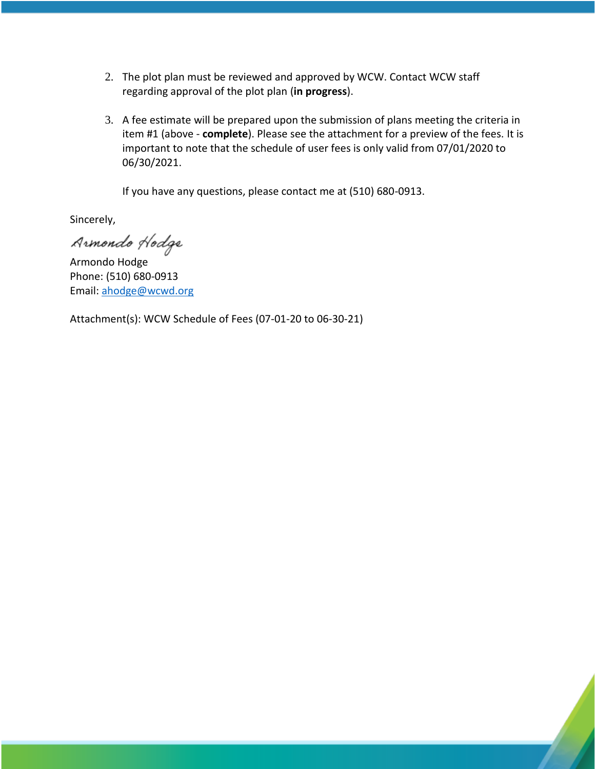- 2. The plot plan must be reviewed and approved by WCW. Contact WCW staff regarding approval of the plot plan (**in progress**).
- 3. A fee estimate will be prepared upon the submission of plans meeting the criteria in item #1 (above - **complete**). Please see the attachment for a preview of the fees. It is important to note that the schedule of user fees is only valid from 07/01/2020 to 06/30/2021.

If you have any questions, please contact me at (510) 680-0913.

Sincerely,

Armondo Hodge

Armondo Hodge Phone: (510) 680-0913 Email: [ahodge@wcwd.org](mailto:ahodge@wcwd.org)

Attachment(s): WCW Schedule of Fees (07-01-20 to 06-30-21)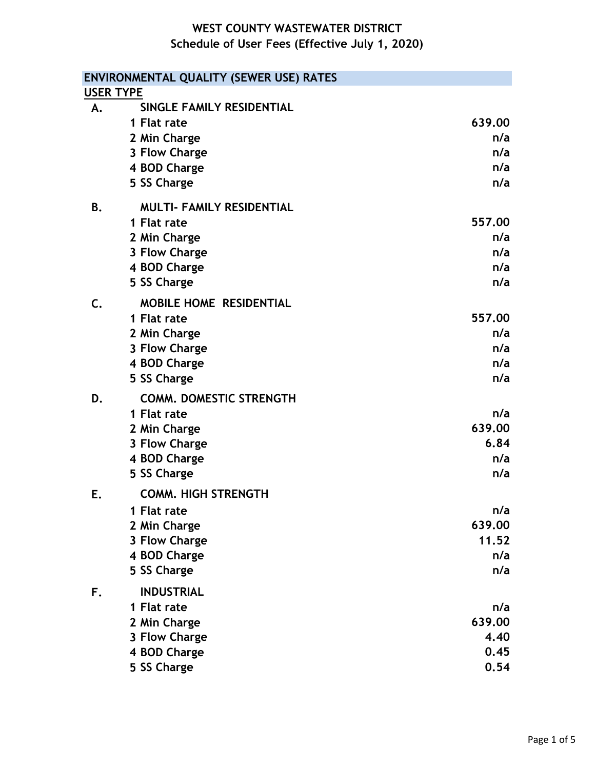|                | <b>ENVIRONMENTAL QUALITY (SEWER USE) RATES</b> |        |
|----------------|------------------------------------------------|--------|
|                | <b>USER TYPE</b>                               |        |
| Α.             | SINGLE FAMILY RESIDENTIAL                      |        |
|                | 1 Flat rate                                    | 639.00 |
|                | 2 Min Charge                                   | n/a    |
|                | 3 Flow Charge                                  | n/a    |
|                | 4 BOD Charge                                   | n/a    |
|                | 5 SS Charge                                    | n/a    |
| <b>B.</b>      | <b>MULTI- FAMILY RESIDENTIAL</b>               |        |
|                | 1 Flat rate                                    | 557.00 |
|                | 2 Min Charge                                   | n/a    |
|                | 3 Flow Charge                                  | n/a    |
|                | 4 BOD Charge                                   | n/a    |
|                | 5 SS Charge                                    | n/a    |
| $\mathsf{C}$ . | <b>MOBILE HOME RESIDENTIAL</b>                 |        |
|                | 1 Flat rate                                    | 557.00 |
|                | 2 Min Charge                                   | n/a    |
|                | 3 Flow Charge                                  | n/a    |
|                | 4 BOD Charge                                   | n/a    |
|                | 5 SS Charge                                    | n/a    |
| D.             | <b>COMM. DOMESTIC STRENGTH</b>                 |        |
|                | 1 Flat rate                                    | n/a    |
|                | 2 Min Charge                                   | 639.00 |
|                | 3 Flow Charge                                  | 6.84   |
|                | 4 BOD Charge                                   | n/a    |
|                | 5 SS Charge                                    | n/a    |
| Ε.             | <b>COMM. HIGH STRENGTH</b>                     |        |
|                | 1 Flat rate                                    | n/a    |
|                | 2 Min Charge                                   | 639.00 |
|                | 3 Flow Charge                                  | 11.52  |
|                | 4 BOD Charge                                   | n/a    |
|                | 5 SS Charge                                    | n/a    |
| F.             | <b>INDUSTRIAL</b>                              |        |
|                | 1 Flat rate                                    | n/a    |
|                | 2 Min Charge                                   | 639.00 |
|                | 3 Flow Charge                                  | 4.40   |
|                | 4 BOD Charge                                   | 0.45   |
|                | 5 SS Charge                                    | 0.54   |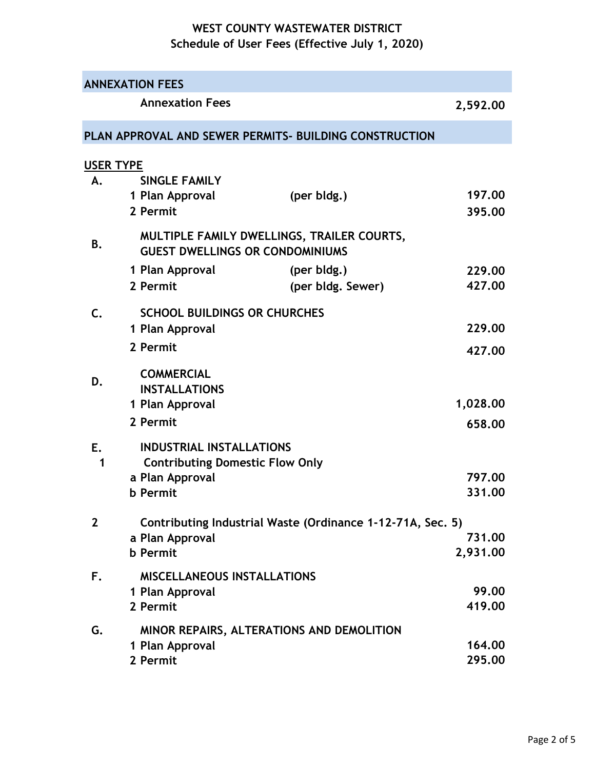|                  | <b>ANNEXATION FEES</b>                                     |                                                        |          |  |  |
|------------------|------------------------------------------------------------|--------------------------------------------------------|----------|--|--|
|                  |                                                            |                                                        |          |  |  |
|                  | <b>Annexation Fees</b>                                     |                                                        | 2,592.00 |  |  |
|                  |                                                            | PLAN APPROVAL AND SEWER PERMITS- BUILDING CONSTRUCTION |          |  |  |
|                  |                                                            |                                                        |          |  |  |
| <b>USER TYPE</b> |                                                            |                                                        |          |  |  |
| А.               | <b>SINGLE FAMILY</b>                                       |                                                        |          |  |  |
|                  | 1 Plan Approval                                            | (per bldg.)                                            | 197.00   |  |  |
|                  | 2 Permit                                                   |                                                        | 395.00   |  |  |
|                  |                                                            | MULTIPLE FAMILY DWELLINGS, TRAILER COURTS,             |          |  |  |
| <b>B.</b>        |                                                            | <b>GUEST DWELLINGS OR CONDOMINIUMS</b>                 |          |  |  |
|                  | 1 Plan Approval                                            | (per bldg.)                                            | 229.00   |  |  |
|                  | 2 Permit                                                   | (per bldg. Sewer)                                      | 427.00   |  |  |
|                  |                                                            |                                                        |          |  |  |
| $\mathsf{C}$ .   | <b>SCHOOL BUILDINGS OR CHURCHES</b><br>1 Plan Approval     |                                                        | 229.00   |  |  |
|                  |                                                            |                                                        |          |  |  |
|                  | 2 Permit                                                   |                                                        | 427.00   |  |  |
|                  | <b>COMMERCIAL</b>                                          |                                                        |          |  |  |
| D.               | <b>INSTALLATIONS</b>                                       |                                                        |          |  |  |
|                  | 1 Plan Approval                                            |                                                        | 1,028.00 |  |  |
|                  | 2 Permit                                                   |                                                        | 658.00   |  |  |
| Ε.               | <b>INDUSTRIAL INSTALLATIONS</b>                            |                                                        |          |  |  |
| 1                | <b>Contributing Domestic Flow Only</b>                     |                                                        |          |  |  |
|                  | a Plan Approval                                            |                                                        | 797.00   |  |  |
|                  | <b>b</b> Permit                                            |                                                        | 331.00   |  |  |
|                  |                                                            |                                                        |          |  |  |
| 2                | Contributing Industrial Waste (Ordinance 1-12-71A, Sec. 5) |                                                        |          |  |  |
|                  | a Plan Approval                                            |                                                        | 731.00   |  |  |
|                  | <b>b</b> Permit                                            |                                                        | 2,931.00 |  |  |
| F.               | <b>MISCELLANEOUS INSTALLATIONS</b>                         |                                                        |          |  |  |
|                  | 1 Plan Approval                                            |                                                        | 99.00    |  |  |
|                  | 2 Permit                                                   |                                                        | 419.00   |  |  |
| G.               |                                                            | MINOR REPAIRS, ALTERATIONS AND DEMOLITION              |          |  |  |
|                  | 1 Plan Approval                                            |                                                        | 164.00   |  |  |
|                  | 2 Permit                                                   |                                                        | 295.00   |  |  |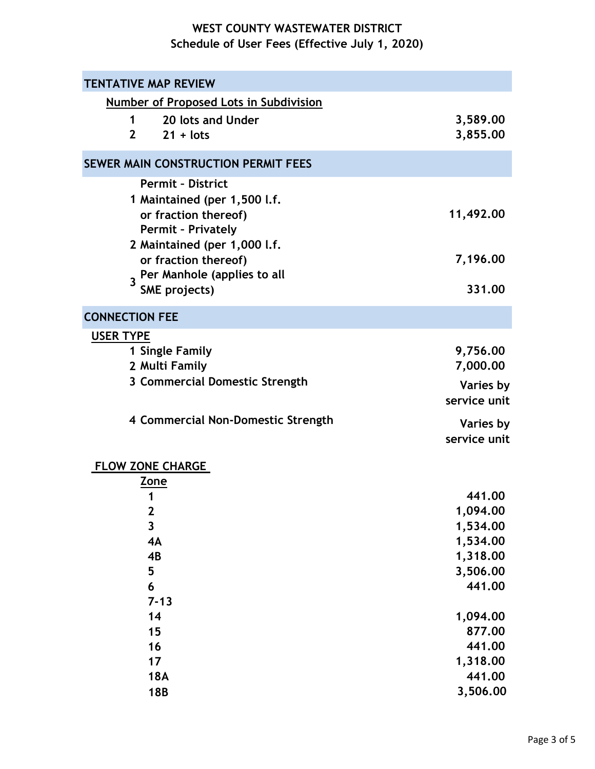| <b>TENTATIVE MAP REVIEW</b>                          |                           |
|------------------------------------------------------|---------------------------|
| Number of Proposed Lots in Subdivision               |                           |
| 1<br>20 lots and Under                               | 3,589.00                  |
| $21 + lots$<br>$\mathbf{2}$                          | 3,855.00                  |
| SEWER MAIN CONSTRUCTION PERMIT FEES                  |                           |
| <b>Permit - District</b>                             |                           |
| 1 Maintained (per 1,500 l.f.                         |                           |
| or fraction thereof)                                 | 11,492.00                 |
| <b>Permit - Privately</b>                            |                           |
| 2 Maintained (per 1,000 l.f.<br>or fraction thereof) | 7,196.00                  |
| 3 Per Manhole (applies to all                        |                           |
| SME projects)                                        | 331.00                    |
| <b>CONNECTION FEE</b>                                |                           |
| <b>USER TYPE</b>                                     |                           |
| 1 Single Family                                      | 9,756.00                  |
| 2 Multi Family                                       | 7,000.00                  |
| 3 Commercial Domestic Strength                       | Varies by                 |
|                                                      | service unit              |
| 4 Commercial Non-Domestic Strength                   |                           |
|                                                      | Varies by<br>service unit |
|                                                      |                           |
| <b>FLOW ZONE CHARGE</b>                              |                           |
| Zone                                                 |                           |
| 1                                                    | 441.00                    |
| $\mathbf{2}$                                         | 1,094.00                  |
| $\overline{\mathbf{3}}$                              | 1,534.00                  |
| 4A                                                   | 1,534.00                  |
| 4B                                                   | 1,318.00                  |
| 5                                                    | 3,506.00                  |
| 6                                                    | 441.00                    |
| $7 - 13$                                             |                           |
| 14                                                   | 1,094.00                  |
| 15                                                   | 877.00                    |
| 16                                                   | 441.00                    |
| 17                                                   | 1,318.00                  |
| <b>18A</b>                                           | 441.00                    |
| <b>18B</b>                                           | 3,506.00                  |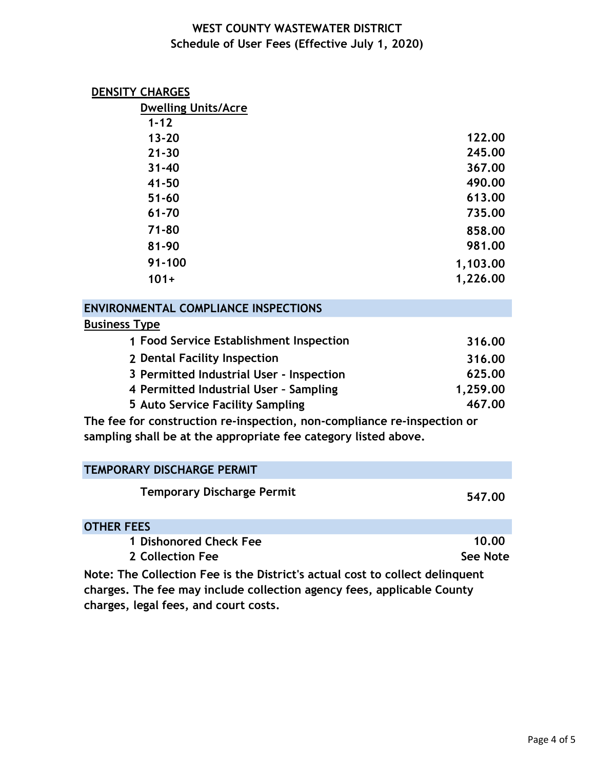#### DENSITY CHARGES

| <b>Dwelling Units/Acre</b> |          |
|----------------------------|----------|
| $1 - 12$                   |          |
| $13 - 20$                  | 122.00   |
| $21 - 30$                  | 245.00   |
| $31 - 40$                  | 367.00   |
| $41 - 50$                  | 490.00   |
| $51 - 60$                  | 613.00   |
| $61 - 70$                  | 735.00   |
| $71 - 80$                  | 858.00   |
| 81-90                      | 981.00   |
| $91 - 100$                 | 1,103.00 |
| $101 +$                    | 1,226.00 |

#### ENVIRONMENTAL COMPLIANCE INSPECTIONS

| <b>Business Type</b> |  |
|----------------------|--|
|                      |  |

| 1 Food Service Establishment Inspection  | 316.00   |
|------------------------------------------|----------|
| 2 Dental Facility Inspection             | 316.00   |
| 3 Permitted Industrial User - Inspection | 625.00   |
| 4 Permitted Industrial User - Sampling   | 1,259.00 |
| 5 Auto Service Facility Sampling         | 467.00   |

The fee for construction re-inspection, non-compliance re-inspection or sampling shall be at the appropriate fee category listed above.

| <b>TEMPORARY DISCHARGE PERMIT</b>                                            |          |
|------------------------------------------------------------------------------|----------|
| <b>Temporary Discharge Permit</b>                                            | 547.00   |
| <b>OTHER FEES</b>                                                            |          |
| 1 Dishonored Check Fee                                                       | 10.00    |
| 2 Collection Fee                                                             | See Note |
| Note: The Collection Fee is the District's actual cost to collect delinguent |          |

charges. The fee may include collection agency fees, applicable County charges, legal fees, and court costs.